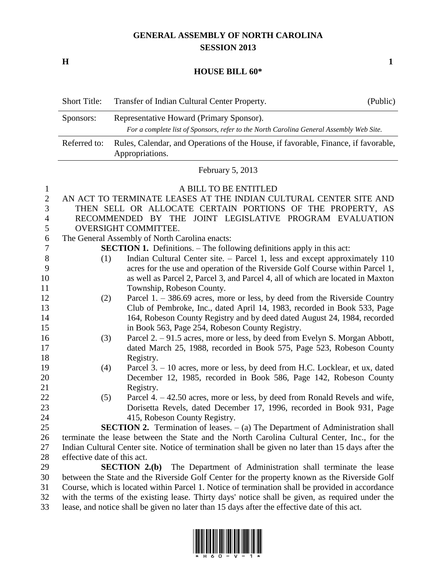## **GENERAL ASSEMBLY OF NORTH CAROLINA SESSION 2013**

**H 1**

## **HOUSE BILL 60\***

| <b>Short Title:</b> | Transfer of Indian Cultural Center Property.                                                                                        | (Public) |
|---------------------|-------------------------------------------------------------------------------------------------------------------------------------|----------|
| Sponsors:           | Representative Howard (Primary Sponsor).<br>For a complete list of Sponsors, refer to the North Carolina General Assembly Web Site. |          |
| Referred to:        | Rules, Calendar, and Operations of the House, if favorable, Finance, if favorable,<br>Appropriations.                               |          |

February 5, 2013

| $\mathbf{1}$   | A BILL TO BE ENTITLED                                                                             |                                                                                         |  |
|----------------|---------------------------------------------------------------------------------------------------|-----------------------------------------------------------------------------------------|--|
| $\overline{2}$ |                                                                                                   | AN ACT TO TERMINATE LEASES AT THE INDIAN CULTURAL CENTER SITE AND                       |  |
| 3              |                                                                                                   | THEN SELL OR ALLOCATE CERTAIN PORTIONS OF THE PROPERTY, AS                              |  |
| $\overline{4}$ | RECOMMENDED BY THE JOINT LEGISLATIVE PROGRAM EVALUATION                                           |                                                                                         |  |
| 5              | <b>OVERSIGHT COMMITTEE.</b>                                                                       |                                                                                         |  |
| 6              | The General Assembly of North Carolina enacts:                                                    |                                                                                         |  |
| $\overline{7}$ | <b>SECTION 1.</b> Definitions. – The following definitions apply in this act:                     |                                                                                         |  |
| $8\,$          | (1)                                                                                               | Indian Cultural Center site. - Parcel 1, less and except approximately 110              |  |
| 9              |                                                                                                   | acres for the use and operation of the Riverside Golf Course within Parcel 1,           |  |
| 10             |                                                                                                   | as well as Parcel 2, Parcel 3, and Parcel 4, all of which are located in Maxton         |  |
| 11             |                                                                                                   | Township, Robeson County.                                                               |  |
| 12             | (2)                                                                                               | Parcel 1. $-$ 386.69 acres, more or less, by deed from the Riverside Country            |  |
| 13             |                                                                                                   | Club of Pembroke, Inc., dated April 14, 1983, recorded in Book 533, Page                |  |
| 14             |                                                                                                   | 164, Robeson County Registry and by deed dated August 24, 1984, recorded                |  |
| 15             |                                                                                                   | in Book 563, Page 254, Robeson County Registry.                                         |  |
| 16             | (3)                                                                                               | Parcel 2. – 91.5 acres, more or less, by deed from Evelyn S. Morgan Abbott,             |  |
| 17             |                                                                                                   | dated March 25, 1988, recorded in Book 575, Page 523, Robeson County                    |  |
| 18             |                                                                                                   | Registry.                                                                               |  |
| 19             | (4)                                                                                               | Parcel 3. - 10 acres, more or less, by deed from H.C. Locklear, et ux, dated            |  |
| 20             |                                                                                                   | December 12, 1985, recorded in Book 586, Page 142, Robeson County                       |  |
| 21             |                                                                                                   | Registry.                                                                               |  |
| 22             | (5)                                                                                               | Parcel 4. – 42.50 acres, more or less, by deed from Ronald Revels and wife,             |  |
| 23             |                                                                                                   | Dorisetta Revels, dated December 17, 1996, recorded in Book 931, Page                   |  |
| 24             |                                                                                                   | 415, Robeson County Registry.                                                           |  |
| 25             |                                                                                                   | <b>SECTION 2.</b> Termination of leases. $-$ (a) The Department of Administration shall |  |
| 26             | terminate the lease between the State and the North Carolina Cultural Center, Inc., for the       |                                                                                         |  |
| 27             | Indian Cultural Center site. Notice of termination shall be given no later than 15 days after the |                                                                                         |  |
| 28             | effective date of this act.                                                                       |                                                                                         |  |
| 29             |                                                                                                   | <b>SECTION 2.(b)</b> The Department of Administration shall terminate the lease         |  |
| 30             | between the State and the Riverside Golf Center for the property known as the Riverside Golf      |                                                                                         |  |
| 31             | Course, which is located within Parcel 1. Notice of termination shall be provided in accordance   |                                                                                         |  |

 with the terms of the existing lease. Thirty days' notice shall be given, as required under the lease, and notice shall be given no later than 15 days after the effective date of this act.

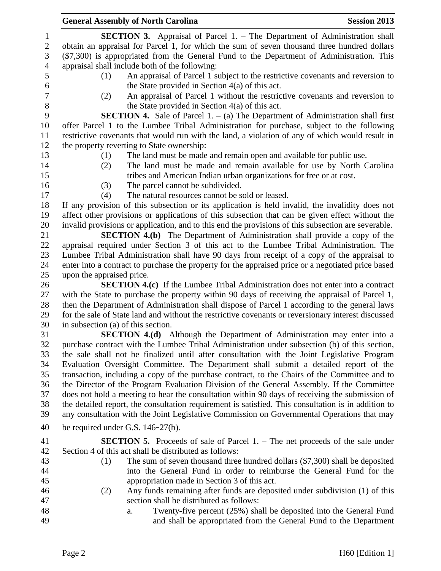|                | <b>General Assembly of North Carolina</b><br><b>Session 2013</b>                                                                                                                 |  |  |  |  |
|----------------|----------------------------------------------------------------------------------------------------------------------------------------------------------------------------------|--|--|--|--|
| $\mathbf{1}$   | <b>SECTION 3.</b> Appraisal of Parcel 1. – The Department of Administration shall                                                                                                |  |  |  |  |
| $\sqrt{2}$     | obtain an appraisal for Parcel 1, for which the sum of seven thousand three hundred dollars                                                                                      |  |  |  |  |
| 3              | (\$7,300) is appropriated from the General Fund to the Department of Administration. This                                                                                        |  |  |  |  |
| $\overline{4}$ | appraisal shall include both of the following:                                                                                                                                   |  |  |  |  |
| 5              | An appraisal of Parcel 1 subject to the restrictive covenants and reversion to<br>(1)                                                                                            |  |  |  |  |
| 6              | the State provided in Section $4(a)$ of this act.                                                                                                                                |  |  |  |  |
| 7              | An appraisal of Parcel 1 without the restrictive covenants and reversion to<br>(2)                                                                                               |  |  |  |  |
| $\,8\,$        | the State provided in Section $4(a)$ of this act.                                                                                                                                |  |  |  |  |
| 9              | <b>SECTION 4.</b> Sale of Parcel 1. $-$ (a) The Department of Administration shall first                                                                                         |  |  |  |  |
| 10             | offer Parcel 1 to the Lumbee Tribal Administration for purchase, subject to the following                                                                                        |  |  |  |  |
| 11             | restrictive covenants that would run with the land, a violation of any of which would result in                                                                                  |  |  |  |  |
| 12             | the property reverting to State ownership:                                                                                                                                       |  |  |  |  |
| 13             | The land must be made and remain open and available for public use.<br>(1)                                                                                                       |  |  |  |  |
| 14             | The land must be made and remain available for use by North Carolina<br>(2)                                                                                                      |  |  |  |  |
| 15             | tribes and American Indian urban organizations for free or at cost.                                                                                                              |  |  |  |  |
| 16             | The parcel cannot be subdivided.<br>(3)                                                                                                                                          |  |  |  |  |
| 17             | (4)<br>The natural resources cannot be sold or leased.                                                                                                                           |  |  |  |  |
| 18             | If any provision of this subsection or its application is held invalid, the invalidity does not                                                                                  |  |  |  |  |
| 19             | affect other provisions or applications of this subsection that can be given effect without the                                                                                  |  |  |  |  |
| 20             | invalid provisions or application, and to this end the provisions of this subsection are severable.                                                                              |  |  |  |  |
| 21             | <b>SECTION 4.(b)</b> The Department of Administration shall provide a copy of the                                                                                                |  |  |  |  |
| 22             | appraisal required under Section 3 of this act to the Lumbee Tribal Administration. The                                                                                          |  |  |  |  |
| 23             | Lumbee Tribal Administration shall have 90 days from receipt of a copy of the appraisal to                                                                                       |  |  |  |  |
| 24             | enter into a contract to purchase the property for the appraised price or a negotiated price based                                                                               |  |  |  |  |
| 25             | upon the appraised price.                                                                                                                                                        |  |  |  |  |
| 26             | <b>SECTION 4.(c)</b> If the Lumbee Tribal Administration does not enter into a contract                                                                                          |  |  |  |  |
| 27             | with the State to purchase the property within 90 days of receiving the appraisal of Parcel 1,                                                                                   |  |  |  |  |
| 28             | then the Department of Administration shall dispose of Parcel 1 according to the general laws                                                                                    |  |  |  |  |
| 29             | for the sale of State land and without the restrictive covenants or reversionary interest discussed                                                                              |  |  |  |  |
| 30<br>31       | in subsection (a) of this section.                                                                                                                                               |  |  |  |  |
| 32             | <b>SECTION 4.(d)</b> Although the Department of Administration may enter into a<br>purchase contract with the Lumbee Tribal Administration under subsection (b) of this section, |  |  |  |  |
| 33             | the sale shall not be finalized until after consultation with the Joint Legislative Program                                                                                      |  |  |  |  |
| 34             | Evaluation Oversight Committee. The Department shall submit a detailed report of the                                                                                             |  |  |  |  |
| 35             | transaction, including a copy of the purchase contract, to the Chairs of the Committee and to                                                                                    |  |  |  |  |
| 36             | the Director of the Program Evaluation Division of the General Assembly. If the Committee                                                                                        |  |  |  |  |
| 37             | does not hold a meeting to hear the consultation within 90 days of receiving the submission of                                                                                   |  |  |  |  |
| 38             | the detailed report, the consultation requirement is satisfied. This consultation is in addition to                                                                              |  |  |  |  |
| 39             | any consultation with the Joint Legislative Commission on Governmental Operations that may                                                                                       |  |  |  |  |
| 40             | be required under G.S. $146-27(b)$ .                                                                                                                                             |  |  |  |  |
|                |                                                                                                                                                                                  |  |  |  |  |
| 41             | <b>SECTION 5.</b> Proceeds of sale of Parcel $1.$ – The net proceeds of the sale under                                                                                           |  |  |  |  |
| 42             | Section 4 of this act shall be distributed as follows:                                                                                                                           |  |  |  |  |
| 43             | The sum of seven thousand three hundred dollars $(\text{$}7,300)$ shall be deposited<br>(1)                                                                                      |  |  |  |  |
| 44             | into the General Fund in order to reimburse the General Fund for the                                                                                                             |  |  |  |  |
| 45             | appropriation made in Section 3 of this act.                                                                                                                                     |  |  |  |  |
| 46             | Any funds remaining after funds are deposited under subdivision (1) of this<br>(2)                                                                                               |  |  |  |  |
| 47             | section shall be distributed as follows:                                                                                                                                         |  |  |  |  |
| 48<br>49       | Twenty-five percent (25%) shall be deposited into the General Fund<br>a.<br>and shall be appropriated from the General Fund to the Department                                    |  |  |  |  |
|                |                                                                                                                                                                                  |  |  |  |  |
|                |                                                                                                                                                                                  |  |  |  |  |